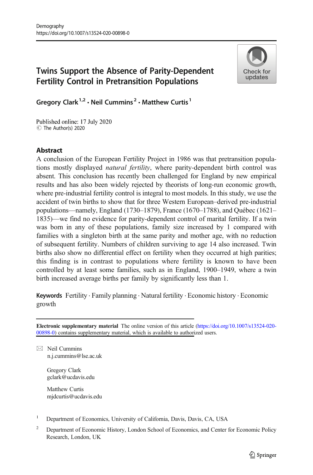# Twins Support the Absence of Parity-Dependent Fertility Control in Pretransition Populations



Gregory Clark<sup>1,2</sup>  $\cdot$  Neil Cummins<sup>2</sup>  $\cdot$  Matthew Curtis<sup>1</sup>

Published online: 17 July 2020 C The Author(s) 2020

## Abstract

A conclusion of the European Fertility Project in 1986 was that pretransition populations mostly displayed *natural fertility*, where parity-dependent birth control was absent. This conclusion has recently been challenged for England by new empirical results and has also been widely rejected by theorists of long-run economic growth, where pre-industrial fertility control is integral to most models. In this study, we use the accident of twin births to show that for three Western European–derived pre-industrial populations—namely, England (1730–1879), France (1670–1788), and Québec (1621– 1835)—we find no evidence for parity-dependent control of marital fertility. If a twin was born in any of these populations, family size increased by 1 compared with families with a singleton birth at the same parity and mother age, with no reduction of subsequent fertility. Numbers of children surviving to age 14 also increased. Twin births also show no differential effect on fertility when they occurred at high parities; this finding is in contrast to populations where fertility is known to have been controlled by at least some families, such as in England, 1900–1949, where a twin birth increased average births per family by significantly less than 1.

Keywords Fertility . Family planning . Natural fertility . Economic history . Economic growth

Electronic supplementary material The online version of this article [\(https://doi.org/10.1007/s13524-020-](https://doi.org/10.1007/s13524-020-00898-0) [00898-0\)](https://doi.org/10.1007/s13524-020-00898-0) contains supplementary material, which is available to authorized users.

 $\boxtimes$  Neil Cummins [n.j.cummins@lse.ac.uk](mailto:n.j.cummins@lse.ac.uk)

> Gregory Clark gclark@ucdavis.edu

Matthew Curtis mjdcurtis@ucdavis.edu

- <sup>1</sup> Department of Economics, University of California, Davis, Davis, CA, USA
- <sup>2</sup> Department of Economic History, London School of Economics, and Center for Economic Policy Research, London, UK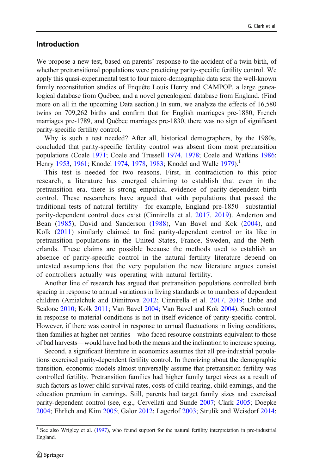## Introduction

We propose a new test, based on parents' response to the accident of a twin birth, of whether pretransitional populations were practicing parity-specific fertility control. We apply this quasi-experimental test to four micro-demographic data sets: the well-known family reconstitution studies of Enquête Louis Henry and CAMPOP, a large genealogical database from Québec, and a novel genealogical database from England. (Find more on all in the upcoming Data section.) In sum, we analyze the effects of 16,580 twins on 709,262 births and confirm that for English marriages pre-1880, French marriages pre-1789, and Québec marriages pre-1830, there was no sign of significant parity-specific fertility control.

Why is such a test needed? After all, historical demographers, by the 1980s, concluded that parity-specific fertility control was absent from most pretransition populations (Coale [1971;](#page-22-0) Coale and Trussell [1974,](#page-22-0) [1978](#page-22-0); Coale and Watkins [1986;](#page-22-0) Henry [1953,](#page-22-0) [1961;](#page-22-0) Knodel [1974,](#page-23-0) [1978](#page-23-0), [1983](#page-23-0); Knodel and Walle [1979](#page-23-0)).<sup>1</sup>

This test is needed for two reasons. First, in contradiction to this prior research, a literature has emerged claiming to establish that even in the pretransition era, there is strong empirical evidence of parity-dependent birth control. These researchers have argued that with populations that passed the traditional tests of natural fertility—for example, England pre-1850—substantial parity-dependent control does exist (Cinnirella et al. [2017,](#page-21-0) [2019\)](#page-21-0). Anderton and Bean ([1985\)](#page-21-0), David and Sanderson [\(1988\)](#page-22-0), Van Bavel and Kok [\(2004](#page-24-0)), and Kolk ([2011](#page-23-0)) similarly claimed to find parity-dependent control or its like in pretransition populations in the United States, France, Sweden, and the Netherlands. These claims are possible because the methods used to establish an absence of parity-specific control in the natural fertility literature depend on untested assumptions that the very population the new literature argues consist of controllers actually was operating with natural fertility.

Another line of research has argued that pretransition populations controlled birth spacing in response to annual variations in living standards or to numbers of dependent children (Amialchuk and Dimitrova [2012](#page-21-0); Cinnirella et al. [2017,](#page-21-0) [2019;](#page-21-0) Dribe and Scalone [2010](#page-22-0); Kolk [2011](#page-23-0); Van Bavel [2004](#page-23-0); Van Bavel and Kok [2004\)](#page-24-0). Such control in response to material conditions is not in itself evidence of parity-specific control. However, if there was control in response to annual fluctuations in living conditions, then families at higher net parities—who faced resource constraints equivalent to those of bad harvests—would have had both the means and the inclination to increase spacing.

Second, a significant literature in economics assumes that all pre-industrial populations exercised parity-dependent fertility control. In theorizing about the demographic transition, economic models almost universally assume that pretransition fertility was controlled fertility. Pretransition families had higher family target sizes as a result of such factors as lower child survival rates, costs of child-rearing, child earnings, and the education premium in earnings. Still, parents had target family sizes and exercised parity-dependent control (see, e.g., Cervellati and Sunde [2007](#page-21-0); Clark [2005;](#page-21-0) Doepke [2004;](#page-22-0) Ehrlich and Kim [2005](#page-22-0); Galor [2012](#page-22-0); Lagerlof [2003;](#page-23-0) Strulik and Weisdorf [2014;](#page-23-0)

 $1$  See also Wrigley et al. ([1997](#page-24-0)), who found support for the natural fertility interpretation in pre-industrial England.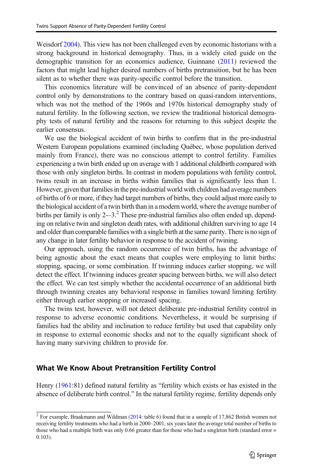Weisdorf [2004\)](#page-24-0). This view has not been challenged even by economic historians with a strong background in historical demography. Thus, in a widely cited guide on the demographic transition for an economics audience, Guinnane [\(2011\)](#page-22-0) reviewed the factors that might lead higher desired numbers of births pretransition, but he has been silent as to whether there was parity-specific control before the transition.

This economics literature will be convinced of an absence of parity-dependent control only by demonstrations to the contrary based on quasi-random interventions, which was not the method of the 1960s and 1970s historical demography study of natural fertility. In the following section, we review the traditional historical demography tests of natural fertility and the reasons for returning to this subject despite the earlier consensus.

We use the biological accident of twin births to confirm that in the pre-industrial Western European populations examined (including Québec, whose population derived mainly from France), there was no conscious attempt to control fertility. Families experiencing a twin birth ended up on average with 1 additional childbirth compared with those with only singleton births. In contrast in modern populations with fertility control, twins result in an increase in births within families that is significantly less than 1. However, given that families in the pre-industrial world with children had average numbers of births of 6 or more, if they had target numbers of births, they could adjust more easily to the biological accident of a twin birth than in a modern world, where the average number of births per family is only  $2-3$ .<sup>2</sup> These pre-industrial families also often ended up, depending on relative twin and singleton death rates, with additional children surviving to age 14 and older than comparable families with a single birth at the same parity. There is no sign of any change in later fertility behavior in response to the accident of twining.

Our approach, using the random occurrence of twin births, has the advantage of being agnostic about the exact means that couples were employing to limit births: stopping, spacing, or some combination. If twinning induces earlier stopping, we will detect the effect. If twinning induces greater spacing between births, we will also detect the effect. We can test simply whether the accidental occurrence of an additional birth through twinning creates any behavioral response in families toward limiting fertility either through earlier stopping or increased spacing.

The twins test, however, will not detect deliberate pre-industrial fertility control in response to adverse economic conditions. Nevertheless, it would be surprising if families had the ability and inclination to reduce fertility but used that capability only in response to external economic shocks and not to the equally significant shock of having many surviving children to provide for.

#### What We Know About Pretransition Fertility Control

Henry [\(1961:](#page-22-0)81) defined natural fertility as "fertility which exists or has existed in the absence of deliberate birth control." In the natural fertility regime, fertility depends only

 $2$  For example, Braakmann and Wildman [\(2014](#page-21-0): table 6) found that in a sample of 17,862 British women not receiving fertility treatments who had a birth in 2000–2001, six years later the average total number of births to those who had a multiple birth was only 0.66 greater than for those who had a singleton birth (standard error = 0.103).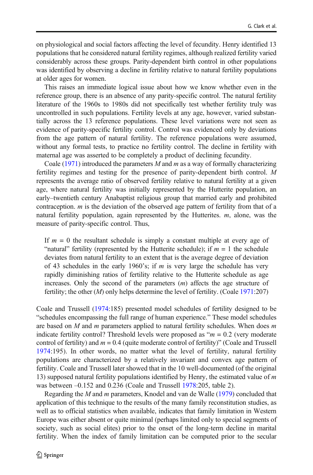on physiological and social factors affecting the level of fecundity. Henry identified 13 populations that he considered natural fertility regimes, although realized fertility varied considerably across these groups. Parity-dependent birth control in other populations was identified by observing a decline in fertility relative to natural fertility populations at older ages for women.

This raises an immediate logical issue about how we know whether even in the reference group, there is an absence of any parity-specific control. The natural fertility literature of the 1960s to 1980s did not specifically test whether fertility truly was uncontrolled in such populations. Fertility levels at any age, however, varied substantially across the 13 reference populations. These level variations were not seen as evidence of parity-specific fertility control. Control was evidenced only by deviations from the age pattern of natural fertility. The reference populations were assumed, without any formal tests, to practice no fertility control. The decline in fertility with maternal age was asserted to be completely a product of declining fecundity.

Coale [\(1971\)](#page-22-0) introduced the parameters M and m as a way of formally characterizing fertility regimes and testing for the presence of parity-dependent birth control. M represents the average ratio of observed fertility relative to natural fertility at a given age, where natural fertility was initially represented by the Hutterite population, an early–twentieth century Anabaptist religious group that married early and prohibited contraception.  $m$  is the deviation of the observed age pattern of fertility from that of a natural fertility population, again represented by the Hutterites.  $m$ , alone, was the measure of parity-specific control. Thus,

If  $m = 0$  the resultant schedule is simply a constant multiple at every age of "natural" fertility (represented by the Hutterite schedule); if  $m = 1$  the schedule deviates from natural fertility to an extent that is the average degree of deviation of 43 schedules in the early 1960's; if  $m$  is very large the schedule has very rapidly diminishing ratios of fertility relative to the Hutterite schedule as age increases. Only the second of the parameters  $(m)$  affects the age structure of fertility; the other  $(M)$  only helps determine the level of fertility. (Coale [1971](#page-22-0):207)

Coale and Trussell ([1974](#page-22-0):185) presented model schedules of fertility designed to be "schedules encompassing the full range of human experience." These model schedules are based on  $M$  and  $m$  parameters applied to natural fertility schedules. When does  $m$ indicate fertility control? Threshold levels were proposed as " $m = 0.2$  (very moderate control of fertility) and  $m = 0.4$  (quite moderate control of fertility)" (Coale and Trussell [1974](#page-22-0):195). In other words, no matter what the level of fertility, natural fertility populations are characterized by a relatively invariant and convex age pattern of fertility. Coale and Trussell later showed that in the 10 well-documented (of the original 13) supposed natural fertility populations identified by Henry, the estimated value of m was between –0.152 and 0.236 (Coale and Trussell [1978](#page-22-0):205, table 2).

Regarding the M and m parameters, Knodel and van de Walle ([1979](#page-23-0)) concluded that application of this technique to the results of the many family reconstitution studies, as well as to official statistics when available, indicates that family limitation in Western Europe was either absent or quite minimal (perhaps limited only to special segments of society, such as social elites) prior to the onset of the long-term decline in marital fertility. When the index of family limitation can be computed prior to the secular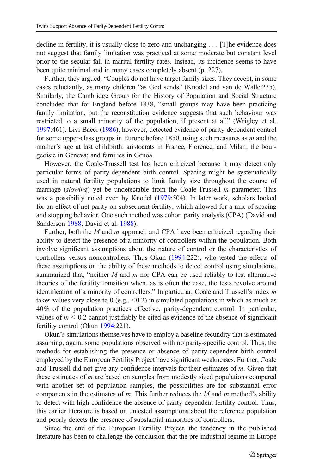decline in fertility, it is usually close to zero and unchanging . . . [T]he evidence does not suggest that family limitation was practiced at some moderate but constant level prior to the secular fall in marital fertility rates. Instead, its incidence seems to have been quite minimal and in many cases completely absent (p. 227).

Further, they argued, "Couples do not have target family sizes. They accept, in some cases reluctantly, as many children "as God sends" (Knodel and van de Walle:235). Similarly, the Cambridge Group for the History of Population and Social Structure concluded that for England before 1838, "small groups may have been practicing family limitation, but the reconstitution evidence suggests that such behaviour was restricted to a small minority of the population, if present at all" (Wrigley et al. [1997:](#page-24-0)461). Livi-Bacci [\(1986\)](#page-23-0), however, detected evidence of parity-dependent control for some upper-class groups in Europe before 1850, using such measures as m and the mother's age at last childbirth: aristocrats in France, Florence, and Milan; the bourgeoisie in Geneva; and families in Genoa.

However, the Coale-Trussell test has been criticized because it may detect only particular forms of parity-dependent birth control. Spacing might be systematically used in natural fertility populations to limit family size throughout the course of marriage (slowing) yet be undetectable from the Coale-Trussell  $m$  parameter. This was a possibility noted even by Knodel [\(1979:](#page-23-0)504). In later work, scholars looked for an effect of net parity on subsequent fertility, which allowed for a mix of spacing and stopping behavior. One such method was cohort parity analysis (CPA) (David and Sanderson [1988;](#page-22-0) David et al. [1988\)](#page-22-0).

Further, both the  $M$  and  $m$  approach and CPA have been criticized regarding their ability to detect the presence of a minority of controllers within the population. Both involve significant assumptions about the nature of control or the characteristics of controllers versus noncontrollers. Thus Okun [\(1994:](#page-23-0)222), who tested the effects of these assumptions on the ability of these methods to detect control using simulations, summarized that, "neither  $M$  and  $m$  nor CPA can be used reliably to test alternative theories of the fertility transition when, as is often the case, the tests revolve around identification of a minority of controllers." In particular, Coale and Trussell's index m takes values very close to 0 (e.g.,  $\leq$  0.2) in simulated populations in which as much as 40% of the population practices effective, parity-dependent control. In particular, values of  $m < 0.2$  cannot justifiably be cited as evidence of the absence of significant fertility control (Okun [1994](#page-23-0):221).

Okun's simulations themselves have to employ a baseline fecundity that is estimated assuming, again, some populations observed with no parity-specific control. Thus, the methods for establishing the presence or absence of parity-dependent birth control employed by the European Fertility Project have significant weaknesses. Further, Coale and Trussell did not give any confidence intervals for their estimates of  $m$ . Given that these estimates of  $m$  are based on samples from modestly sized populations compared with another set of population samples, the possibilities are for substantial error components in the estimates of  $m$ . This further reduces the  $M$  and  $m$  method's ability to detect with high confidence the absence of parity-dependent fertility control. Thus, this earlier literature is based on untested assumptions about the reference population and poorly detects the presence of substantial minorities of controllers.

Since the end of the European Fertility Project, the tendency in the published literature has been to challenge the conclusion that the pre-industrial regime in Europe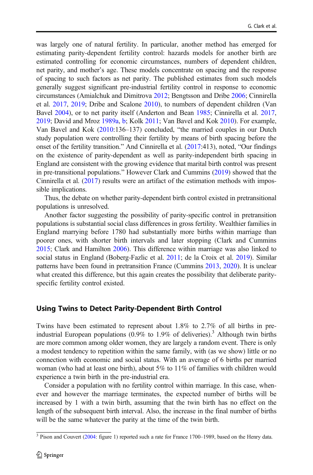was largely one of natural fertility. In particular, another method has emerged for estimating parity-dependent fertility control: hazards models for another birth are estimated controlling for economic circumstances, numbers of dependent children, net parity, and mother's age. These models concentrate on spacing and the response of spacing to such factors as net parity. The published estimates from such models generally suggest significant pre-industrial fertility control in response to economic circumstances (Amialchuk and Dimitrova [2012;](#page-21-0) Bengtsson and Dribe [2006;](#page-21-0) Cinnirella et al. [2017,](#page-21-0) [2019](#page-21-0); Dribe and Scalone [2010](#page-22-0)), to numbers of dependent children (Van Bavel [2004\)](#page-23-0), or to net parity itself (Anderton and Bean [1985](#page-21-0); Cinnirella et al. [2017,](#page-21-0) [2019;](#page-21-0) David and Mroz [1989a,](#page-22-0) [b](#page-22-0); Kolk [2011](#page-23-0); Van Bavel and Kok [2010\)](#page-24-0). For example, Van Bavel and Kok ([2010](#page-24-0):136–137) concluded, "the married couples in our Dutch study population were controlling their fertility by means of birth spacing before the onset of the fertility transition." And Cinnirella et al. [\(2017](#page-21-0):413), noted, "Our findings on the existence of parity-dependent as well as parity-independent birth spacing in England are consistent with the growing evidence that marital birth control was present in pre-transitional populations." However Clark and Cummins [\(2019\)](#page-22-0) showed that the Cinnirella et al. [\(2017\)](#page-21-0) results were an artifact of the estimation methods with impossible implications.

Thus, the debate on whether parity-dependent birth control existed in pretransitional populations is unresolved.

Another factor suggesting the possibility of parity-specific control in pretransition populations is substantial social class differences in gross fertility. Wealthier families in England marrying before 1780 had substantially more births within marriage than poorer ones, with shorter birth intervals and later stopping (Clark and Cummins [2015;](#page-21-0) Clark and Hamilton [2006](#page-22-0)). This difference within marriage was also linked to social status in England (Boberg-Fazlic et al. [2011;](#page-21-0) de la Croix et al. [2019](#page-22-0)). Similar patterns have been found in pretransition France (Cummins [2013](#page-22-0), [2020](#page-22-0)). It is unclear what created this difference, but this again creates the possibility that deliberate parityspecific fertility control existed.

#### Using Twins to Detect Parity-Dependent Birth Control

Twins have been estimated to represent about 1.8% to 2.7% of all births in preindustrial European populations  $(0.9\%$  to 1.9% of deliveries).<sup>3</sup> Although twin births are more common among older women, they are largely a random event. There is only a modest tendency to repetition within the same family, with (as we show) little or no connection with economic and social status. With an average of 6 births per married woman (who had at least one birth), about 5% to 11% of families with children would experience a twin birth in the pre-industrial era.

Consider a population with no fertility control within marriage. In this case, whenever and however the marriage terminates, the expected number of births will be increased by 1 with a twin birth, assuming that the twin birth has no effect on the length of the subsequent birth interval. Also, the increase in the final number of births will be the same whatever the parity at the time of the twin birth.

<sup>&</sup>lt;sup>3</sup> Pison and Couvert ([2004](#page-23-0): figure 1) reported such a rate for France 1700–1989, based on the Henry data.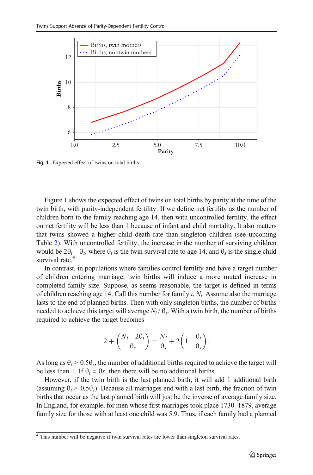

Fig. 1 Expected effect of twins on total births

Figure 1 shows the expected effect of twins on total births by parity at the time of the twin birth, with parity-independent fertility. If we define net fertility as the number of children born to the family reaching age 14, then with uncontrolled fertility, the effect on net fertility will be less than 1 because of infant and child mortality. It also matters that twins showed a higher child death rate than singleton children (see upcoming Table [2](#page-13-0)). With uncontrolled fertility, the increase in the number of surviving children would be  $2\theta_t - \theta_s$ , where  $\theta_t$  is the twin survival rate to age 14, and  $\theta_s$  is the single child survival rate.<sup>4</sup>

In contrast, in populations where families control fertility and have a target number of children entering marriage, twin births will induce a more muted increase in completed family size. Suppose, as seems reasonable, the target is defined in terms of children reaching age 14. Call this number for family  $i$ ,  $N_i$ . Assume also the marriage lasts to the end of planned births. Then with only singleton births, the number of births needed to achieve this target will average  $N_i / \theta_s$ . With a twin birth, the number of births required to achieve the target becomes

$$
2 + \left(\frac{N_i - 2\theta_t}{\theta_s}\right) = \frac{N_i}{\theta_s} + 2\left(1 - \frac{\theta_t}{\theta_s}\right).
$$

As long as  $\theta_t > 0.5\theta_s$ , the number of additional births required to achieve the target will be less than 1. If  $\theta_t = \theta_s$ , then there will be no additional births.

However, if the twin birth is the last planned birth, it will add 1 additional birth (assuming  $\theta_t > 0.5\theta_s$ ). Because all marriages end with a last birth, the fraction of twin births that occur as the last planned birth will just be the inverse of average family size. In England, for example, for men whose first marriages took place 1730–1879, average family size for those with at least one child was 5.9. Thus, if each family had a planned

<sup>&</sup>lt;sup>4</sup> This number will be negative if twin survival rates are lower than singleton survival rates.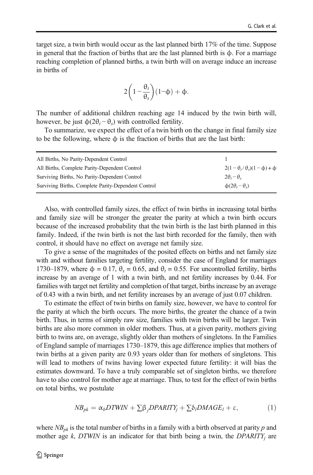<span id="page-7-0"></span>target size, a twin birth would occur as the last planned birth 17% of the time. Suppose in general that the fraction of births that are the last planned birth is  $\phi$ . For a marriage reaching completion of planned births, a twin birth will on average induce an increase in births of

$$
2\bigg(1-\frac{\theta_t}{\theta_s}\bigg)(1-\varphi)+\varphi.
$$

The number of additional children reaching age 14 induced by the twin birth will, however, be just  $\phi(2\theta_t - \theta_s)$  with controlled fertility.

To summarize, we expect the effect of a twin birth on the change in final family size to be the following, where ϕ is the fraction of births that are the last birth:

| All Births, No Parity-Dependent Control             |                                                   |
|-----------------------------------------------------|---------------------------------------------------|
| All Births, Complete Parity-Dependent Control       | $2(1-\theta_{\rm r}/\theta_{\rm s})(1-\phi)+\phi$ |
| Surviving Births, No Parity-Dependent Control       | $2\theta_i - \theta_s$                            |
| Surviving Births, Complete Parity-Dependent Control | $\phi(2\theta_t - \theta_s)$                      |

Also, with controlled family sizes, the effect of twin births in increasing total births and family size will be stronger the greater the parity at which a twin birth occurs because of the increased probability that the twin birth is the last birth planned in this family. Indeed, if the twin birth is not the last birth recorded for the family, then with control, it should have no effect on average net family size.

To give a sense of the magnitudes of the posited effects on births and net family size with and without families targeting fertility, consider the case of England for marriages 1730–1879, where  $\phi = 0.17$ ,  $\theta_s = 0.65$ , and  $\theta_t = 0.55$ . For uncontrolled fertility, births increase by an average of 1 with a twin birth, and net fertility increases by 0.44. For families with target net fertility and completion of that target, births increase by an average of 0.43 with a twin birth, and net fertility increases by an average of just 0.07 children.

To estimate the effect of twin births on family size, however, we have to control for the parity at which the birth occurs. The more births, the greater the chance of a twin birth. Thus, in terms of simply raw size, families with twin births will be larger. Twin births are also more common in older mothers. Thus, at a given parity, mothers giving birth to twins are, on average, slightly older than mothers of singletons. In the Families of England sample of marriages 1730–1879, this age difference implies that mothers of twin births at a given parity are 0.93 years older than for mothers of singletons. This will lead to mothers of twins having lower expected future fertility: it will bias the estimates downward. To have a truly comparable set of singleton births, we therefore have to also control for mother age at marriage. Thus, to test for the effect of twin births on total births, we postulate

$$
NB_{pk} = \alpha_b DTWIN + \sum \beta_j DPARITY_j + \sum \delta_l DMAGE_l + \varepsilon,
$$
 (1)

where  $NB_{pk}$  is the total number of births in a family with a birth observed at parity p and mother age  $k$ , DTWIN is an indicator for that birth being a twin, the DPARITY; are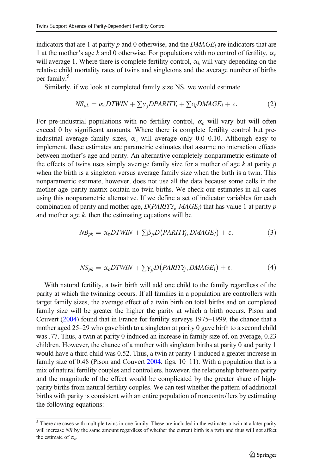<span id="page-8-0"></span>indicators that are 1 at parity p and 0 otherwise, and the  $DMAGE_l$  are indicators that are 1 at the mother's age k and 0 otherwise. For populations with no control of fertility,  $\alpha_b$ will average 1. Where there is complete fertility control,  $\alpha_b$  will vary depending on the relative child mortality rates of twins and singletons and the average number of births per family.<sup>5</sup>

Similarly, if we look at completed family size NS, we would estimate

$$
NS_{pk} = \alpha_c DTWIN + \sum \gamma_j DPARITY_j + \sum \eta_l DMAGE_l + \varepsilon.
$$
 (2)

For pre-industrial populations with no fertility control,  $\alpha_c$  will vary but will often exceed 0 by significant amounts. Where there is complete fertility control but preindustrial average family sizes,  $\alpha_c$  will average only 0.0–0.10. Although easy to implement, these estimates are parametric estimates that assume no interaction effects between mother's age and parity. An alternative completely nonparametric estimate of the effects of twins uses simply average family size for a mother of age  $k$  at parity  $p$ when the birth is a singleton versus average family size when the birth is a twin. This nonparametric estimate, however, does not use all the data because some cells in the mother age–parity matrix contain no twin births. We check our estimates in all cases using this nonparametric alternative. If we define a set of indicator variables for each combination of parity and mother age,  $D(PARITY<sub>i</sub>, MAGE<sub>l</sub>)$  that has value 1 at parity p and mother age  $k$ , then the estimating equations will be

$$
NB_{pk} = \alpha_b DTWIN + \sum \beta_{jl} D\big(PARITY_j, DMAGE_l\big) + \varepsilon. \tag{3}
$$

$$
NS_{pk} = \alpha_c DTWIN + \sum \gamma_{jl} D\big(PARITY_j, DMAGE_l\big) + \varepsilon. \tag{4}
$$

With natural fertility, a twin birth will add one child to the family regardless of the parity at which the twinning occurs. If all families in a population are controllers with target family sizes, the average effect of a twin birth on total births and on completed family size will be greater the higher the parity at which a birth occurs. Pison and Couvert [\(2004\)](#page-23-0) found that in France for fertility surveys 1975–1999, the chance that a mother aged 25–29 who gave birth to a singleton at parity 0 gave birth to a second child was .77. Thus, a twin at parity 0 induced an increase in family size of, on average, 0.23 children. However, the chance of a mother with singleton births at parity 0 and parity 1 would have a third child was 0.52. Thus, a twin at parity 1 induced a greater increase in family size of 0.48 (Pison and Couvert [2004:](#page-23-0) figs. 10–11). With a population that is a mix of natural fertility couples and controllers, however, the relationship between parity and the magnitude of the effect would be complicated by the greater share of highparity births from natural fertility couples. We can test whether the pattern of additional births with parity is consistent with an entire population of noncontrollers by estimating the following equations:

 $5$  There are cases with multiple twins in one family. These are included in the estimate: a twin at a later parity will increase NB by the same amount regardless of whether the current birth is a twin and thus will not affect the estimate of  $\alpha_b$ .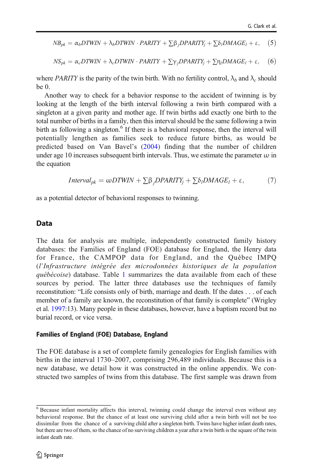<span id="page-9-0"></span>
$$
NB_{pk} = \alpha_b DTWIN + \lambda_b DTWIN \cdot PARITY + \sum \beta_j DPARITY_j + \sum \delta_l DMAGE_l + \epsilon, \quad (5)
$$

$$
NS_{pk} = \alpha_c DTWIN + \lambda_c DTWIN \cdot PARITY + \sum \gamma_j DPARTY_j + \sum \eta_l DMAGE_l + \varepsilon, \quad (6)
$$

where PARITY is the parity of the twin birth. With no fertility control,  $\lambda_b$  and  $\lambda_c$  should be 0.

Another way to check for a behavior response to the accident of twinning is by looking at the length of the birth interval following a twin birth compared with a singleton at a given parity and mother age. If twin births add exactly one birth to the total number of births in a family, then this interval should be the same following a twin birth as following a singleton.<sup>6</sup> If there is a behavioral response, then the interval will potentially lengthen as families seek to reduce future births, as would be predicted based on Van Bavel's [\(2004\)](#page-23-0) finding that the number of children under age 10 increases subsequent birth intervals. Thus, we estimate the parameter  $\omega$  in the equation

$$
Interval_{pk} = \omega DTWIN + \sum \beta_j DPARITY_j + \sum \delta_l DMAGE_l + \varepsilon, \tag{7}
$$

as a potential detector of behavioral responses to twinning.

## Data

The data for analysis are multiple, independently constructed family history databases: the Families of England (FOE) database for England, the Henry data for France, the CAMPOP data for England, and the Québec IMPQ (l'Infrastructure intégrée des microdonnées historiques de la population québécoise) database. Table [1](#page-10-0) summarizes the data available from each of these sources by period. The latter three databases use the techniques of family reconstitution: "Life consists only of birth, marriage and death. If the dates . . . of each member of a family are known, the reconstitution of that family is complete" (Wrigley et al. [1997](#page-24-0):13). Many people in these databases, however, have a baptism record but no burial record, or vice versa.

## Families of England (FOE) Database, England

The FOE database is a set of complete family genealogies for English families with births in the interval 1730–2007, comprising 296,489 individuals. Because this is a new database, we detail how it was constructed in the online appendix. We constructed two samples of twins from this database. The first sample was drawn from

<sup>6</sup> Because infant mortality affects this interval, twinning could change the interval even without any behavioral response. But the chance of at least one surviving child after a twin birth will not be too dissimilar from the chance of a surviving child after a singleton birth. Twins have higher infant death rates, but there are two of them, so the chance of no surviving children a year after a twin birth is the square of the twin infant death rate.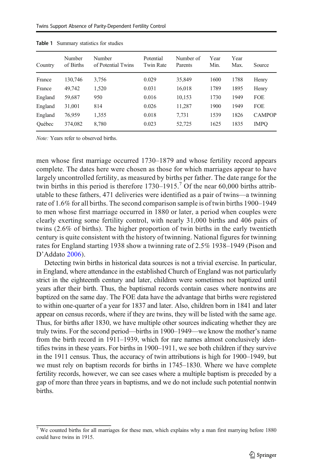| Country | Number<br>of Births | Number<br>of Potential Twins | Potential<br><b>Twin Rate</b> | Number of<br>Parents | Year<br>Min. | Year<br>Max. | Source        |
|---------|---------------------|------------------------------|-------------------------------|----------------------|--------------|--------------|---------------|
| France  | 130,746             | 3,756                        | 0.029                         | 35,849               | 1600         | 1788         | Henry         |
| France  | 49,742              | 1,520                        | 0.031                         | 16,018               | 1789         | 1895         | Henry         |
| England | 59,687              | 950                          | 0.016                         | 10,153               | 1730         | 1949         | <b>FOE</b>    |
| England | 31,001              | 814                          | 0.026                         | 11,287               | 1900         | 1949         | <b>FOE</b>    |
| England | 76,959              | 1,355                        | 0.018                         | 7.731                | 1539         | 1826         | <b>CAMPOP</b> |
| Ouébec  | 374,082             | 8,780                        | 0.023                         | 52,725               | 1625         | 1835         | <b>IMPO</b>   |

<span id="page-10-0"></span>Table 1 Summary statistics for studies

Note: Years refer to observed births.

men whose first marriage occurred 1730–1879 and whose fertility record appears complete. The dates here were chosen as those for which marriages appear to have largely uncontrolled fertility, as measured by births per father. The date range for the twin births in this period is therefore  $1730-1915$ .<sup>7</sup> Of the near 60,000 births attributable to these fathers, 471 deliveries were identified as a pair of twins—a twinning rate of 1.6% for all births. The second comparison sample is of twin births 1900–1949 to men whose first marriage occurred in 1880 or later, a period when couples were clearly exerting some fertility control, with nearly 31,000 births and 406 pairs of twins (2.6% of births). The higher proportion of twin births in the early twentieth century is quite consistent with the history of twinning. National figures for twinning rates for England starting 1938 show a twinning rate of 2.5% 1938–1949 (Pison and D'Addato [2006](#page-23-0)).

Detecting twin births in historical data sources is not a trivial exercise. In particular, in England, where attendance in the established Church of England was not particularly strict in the eighteenth century and later, children were sometimes not baptized until years after their birth. Thus, the baptismal records contain cases where nontwins are baptized on the same day. The FOE data have the advantage that births were registered to within one-quarter of a year for 1837 and later. Also, children born in 1841 and later appear on census records, where if they are twins, they will be listed with the same age. Thus, for births after 1830, we have multiple other sources indicating whether they are truly twins. For the second period—births in 1900–1949—we know the mother's name from the birth record in 1911–1939, which for rare names almost conclusively identifies twins in these years. For births in 1900–1911, we see both children if they survive in the 1911 census. Thus, the accuracy of twin attributions is high for 1900–1949, but we must rely on baptism records for births in 1745–1830. Where we have complete fertility records, however, we can see cases where a multiple baptism is preceded by a gap of more than three years in baptisms, and we do not include such potential nontwin births.

 $7$  We counted births for all marriages for these men, which explains why a man first marrying before 1880 could have twins in 1915.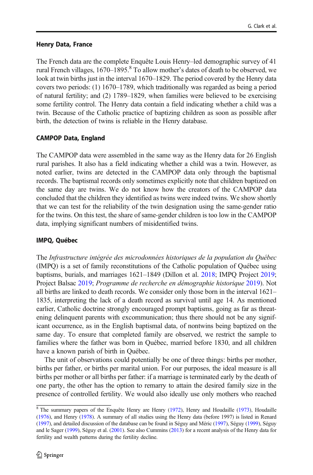## Henry Data, France

The French data are the complete Enquête Louis Henry–led demographic survey of 41 rural French villages,  $1670-1895$ .<sup>8</sup> To allow mother's dates of death to be observed, we look at twin births just in the interval 1670–1829. The period covered by the Henry data covers two periods: (1) 1670–1789, which traditionally was regarded as being a period of natural fertility; and (2) 1789–1829, when families were believed to be exercising some fertility control. The Henry data contain a field indicating whether a child was a twin. Because of the Catholic practice of baptizing children as soon as possible after birth, the detection of twins is reliable in the Henry database.

## CAMPOP Data, England

The CAMPOP data were assembled in the same way as the Henry data for 26 English rural parishes. It also has a field indicating whether a child was a twin. However, as noted earlier, twins are detected in the CAMPOP data only through the baptismal records. The baptismal records only sometimes explicitly note that children baptized on the same day are twins. We do not know how the creators of the CAMPOP data concluded that the children they identified as twins were indeed twins. We show shortly that we can test for the reliability of the twin designation using the same-gender ratio for the twins. On this test, the share of same-gender children is too low in the CAMPOP data, implying significant numbers of misidentified twins.

## IMPQ, Québec

The Infrastructure intégrée des microdonnées historiques de la population du Québec (IMPQ) is a set of family reconstitutions of the Catholic population of Québec using baptisms, burials, and marriages 1621–1849 (Dillon et al. [2018](#page-22-0); IMPQ Project [2019;](#page-23-0) Project Balsac [2019](#page-23-0); Programme de recherche en démographie historique [2019](#page-23-0)). Not all births are linked to death records. We consider only those born in the interval 1621– 1835, interpreting the lack of a death record as survival until age 14. As mentioned earlier, Catholic doctrine strongly encouraged prompt baptisms, going as far as threatening delinquent parents with excommunication; thus there should not be any significant occurrence, as in the English baptismal data, of nontwins being baptized on the same day. To ensure that completed family are observed, we restrict the sample to families where the father was born in Québec, married before 1830, and all children have a known parish of birth in Québec.

The unit of observations could potentially be one of three things: births per mother, births per father, or births per marital union. For our purposes, the ideal measure is all births per mother or all births per father: if a marriage is terminated early by the death of one party, the other has the option to remarry to attain the desired family size in the presence of controlled fertility. We would also ideally use only mothers who reached

 $8$  The summary papers of the Enquête Henry are Henry [\(1972\)](#page-22-0), Henry and Houdaille ([1973](#page-22-0)), Houdaille ([1976\)](#page-22-0), and Henry ([1978](#page-22-0)). A summary of all studies using the Henry data (before 1997) is listed in Renard ([1997\)](#page-23-0), and detailed discussion of the database can be found in Séguy and Méric ([1997](#page-23-0)), Séguy [\(1999\)](#page-23-0), Séguy and le Sager ([1999](#page-23-0)), Séguy et al. [\(2001\)](#page-23-0). See also Cummins [\(2013\)](#page-22-0) for a recent analysis of the Henry data for fertility and wealth patterns during the fertility decline.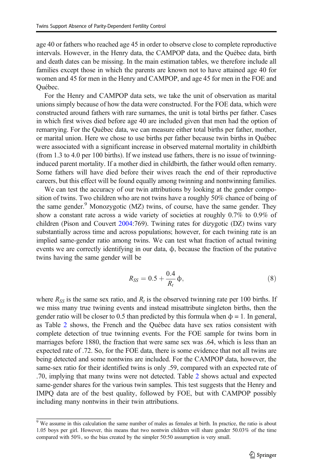<span id="page-12-0"></span>age 40 or fathers who reached age 45 in order to observe close to complete reproductive intervals. However, in the Henry data, the CAMPOP data, and the Québec data, birth and death dates can be missing. In the main estimation tables, we therefore include all families except those in which the parents are known not to have attained age 40 for women and 45 for men in the Henry and CAMPOP, and age 45 for men in the FOE and Québec.

For the Henry and CAMPOP data sets, we take the unit of observation as marital unions simply because of how the data were constructed. For the FOE data, which were constructed around fathers with rare surnames, the unit is total births per father. Cases in which first wives died before age 40 are included given that men had the option of remarrying. For the Québec data, we can measure either total births per father, mother, or marital union. Here we chose to use births per father because twin births in Québec were associated with a significant increase in observed maternal mortality in childbirth (from 1.3 to 4.0 per 100 births). If we instead use fathers, there is no issue of twinninginduced parent mortality. If a mother died in childbirth, the father would often remarry. Some fathers will have died before their wives reach the end of their reproductive careers, but this effect will be found equally among twinning and nontwinning families.

We can test the accuracy of our twin attributions by looking at the gender composition of twins. Two children who are not twins have a roughly 50% chance of being of the same gender. $9$  Monozygotic (MZ) twins, of course, have the same gender. They show a constant rate across a wide variety of societies at roughly 0.7% to 0.9% of children (Pison and Couvert [2004:](#page-23-0)769). Twining rates for dizygotic (DZ) twins vary substantially across time and across populations; however, for each twining rate is an implied same-gender ratio among twins. We can test what fraction of actual twining events we are correctly identifying in our data,  $\phi$ , because the fraction of the putative twins having the same gender will be

$$
R_{SS} = 0.5 + \frac{0.4}{R_t} \phi,
$$
\n(8)

where  $R_{SS}$  is the same sex ratio, and  $R_t$  is the observed twinning rate per 100 births. If we miss many true twining events and instead misattribute singleton births, then the gender ratio will be closer to 0.5 than predicted by this formula when  $\phi = 1$ . In general, as Table [2](#page-13-0) shows, the French and the Québec data have sex ratios consistent with complete detection of true twinning events. For the FOE sample for twins born in marriages before 1880, the fraction that were same sex was .64, which is less than an expected rate of .72. So, for the FOE data, there is some evidence that not all twins are being detected and some nontwins are included. For the CAMPOP data, however, the same-sex ratio for their identified twins is only .59, compared with an expected rate of .70, implying that many twins were not detected. Table [2](#page-13-0) shows actual and expected same-gender shares for the various twin samples. This test suggests that the Henry and IMPQ data are of the best quality, followed by FOE, but with CAMPOP possibly including many nontwins in their twin attributions.

 $\frac{9}{9}$  We assume in this calculation the same number of males as females at birth. In practice, the ratio is about 1.05 boys per girl. However, this means that two nontwin children will share gender 50.03% of the time compared with 50%, so the bias created by the simpler 50:50 assumption is very small.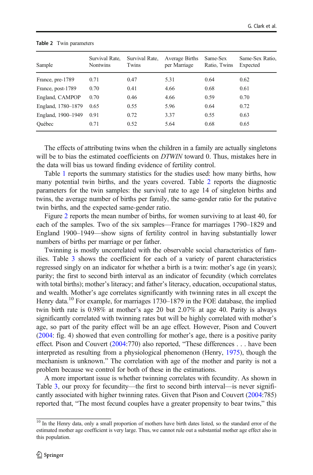| Sample             | Survival Rate,<br><b>Nontwins</b> | Survival Rate,<br>Twins | Average Births<br>per Marriage | Same-Sex<br>Ratio, Twins | Same-Sex Ratio,<br>Expected |
|--------------------|-----------------------------------|-------------------------|--------------------------------|--------------------------|-----------------------------|
| France, pre-1789   | 0.71                              | 0.47                    | 5.31                           | 0.64                     | 0.62                        |
| France, post-1789  | 0.70                              | 0.41                    | 4.66                           | 0.68                     | 0.61                        |
| England, CAMPOP    | 0.70                              | 0.46                    | 4.66                           | 0.59                     | 0.70                        |
| England, 1780-1879 | 0.65                              | 0.55                    | 5.96                           | 0.64                     | 0.72                        |
| England, 1900–1949 | 0.91                              | 0.72                    | 3.37                           | 0.55                     | 0.63                        |
| Ouébec             | 0.71                              | 0.52                    | 5.64                           | 0.68                     | 0.65                        |

#### <span id="page-13-0"></span>Table 2 Twin parameters

The effects of attributing twins when the children in a family are actually singletons will be to bias the estimated coefficients on DTWIN toward 0. Thus, mistakes here in the data will bias us toward finding evidence of fertility control.

Table [1](#page-10-0) reports the summary statistics for the studies used: how many births, how many potential twin births, and the years covered. Table 2 reports the diagnostic parameters for the twin samples: the survival rate to age 14 of singleton births and twins, the average number of births per family, the same-gender ratio for the putative twin births, and the expected same-gender ratio.

Figure [2](#page-14-0) reports the mean number of births, for women surviving to at least 40, for each of the samples. Two of the six samples—France for marriages 1790–1829 and England 1900–1949—show signs of fertility control in having substantially lower numbers of births per marriage or per father.

Twinning is mostly uncorrelated with the observable social characteristics of families. Table [3](#page-15-0) shows the coefficient for each of a variety of parent characteristics regressed singly on an indicator for whether a birth is a twin: mother's age (in years); parity; the first to second birth interval as an indicator of fecundity (which correlates with total births); mother's literacy; and father's literacy, education, occupational status, and wealth. Mother's age correlates significantly with twinning rates in all except the Henry data.<sup>10</sup> For example, for marriages  $1730-1879$  in the FOE database, the implied twin birth rate is 0.98% at mother's age 20 but 2.07% at age 40. Parity is always significantly correlated with twinning rates but will be highly correlated with mother's age, so part of the parity effect will be an age effect. However, Pison and Couvert [\(2004:](#page-23-0) fig. 4) showed that even controlling for mother's age, there is a positive parity effect. Pison and Couvert [\(2004:](#page-23-0)770) also reported, "These differences . . . have been interpreted as resulting from a physiological phenomenon (Henry, [1975\)](#page-22-0), though the mechanism is unknown." The correlation with age of the mother and parity is not a problem because we control for both of these in the estimations.

A more important issue is whether twinning correlates with fecundity. As shown in Table [3](#page-15-0), our proxy for fecundity—the first to second birth interval—is never significantly associated with higher twinning rates. Given that Pison and Couvert [\(2004:](#page-23-0)785) reported that, "The most fecund couples have a greater propensity to bear twins," this

 $\frac{10}{10}$  In the Henry data, only a small proportion of mothers have birth dates listed, so the standard error of the estimated mother age coefficient is very large. Thus, we cannot rule out a substantial mother age effect also in this population.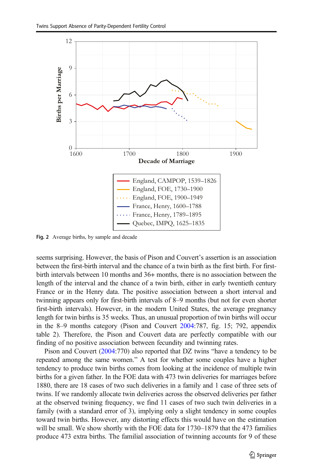<span id="page-14-0"></span>

Fig. 2 Average births, by sample and decade

seems surprising. However, the basis of Pison and Couvert's assertion is an association between the first-birth interval and the chance of a twin birth as the first birth. For firstbirth intervals between 10 months and 36+ months, there is no association between the length of the interval and the chance of a twin birth, either in early twentieth century France or in the Henry data. The positive association between a short interval and twinning appears only for first-birth intervals of 8–9 months (but not for even shorter first-birth intervals). However, in the modern United States, the average pregnancy length for twin births is 35 weeks. Thus, an unusual proportion of twin births will occur in the 8–9 months category (Pison and Couvert [2004](#page-23-0):787, fig. 15; 792, appendix table 2). Therefore, the Pison and Couvert data are perfectly compatible with our finding of no positive association between fecundity and twinning rates.

Pison and Couvert ([2004](#page-23-0):770) also reported that DZ twins "have a tendency to be repeated among the same women." A test for whether some couples have a higher tendency to produce twin births comes from looking at the incidence of multiple twin births for a given father. In the FOE data with 473 twin deliveries for marriages before 1880, there are 18 cases of two such deliveries in a family and 1 case of three sets of twins. If we randomly allocate twin deliveries across the observed deliveries per father at the observed twining frequency, we find 11 cases of two such twin deliveries in a family (with a standard error of 3), implying only a slight tendency in some couples toward twin births. However, any distorting effects this would have on the estimation will be small. We show shortly with the FOE data for 1730–1879 that the 473 families produce 473 extra births. The familial association of twinning accounts for 9 of these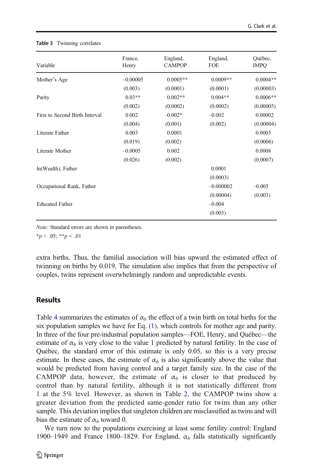| Variable                       | France,<br>Henry | England,<br><b>CAMPOP</b> | England,<br>FOE | Québec,<br><b>IMPO</b> |
|--------------------------------|------------------|---------------------------|-----------------|------------------------|
| Mother's Age                   | $-0.00005$       | $0.0005**$                | $0.0009**$      | $0.0004**$             |
|                                | (0.003)          | (0.0001)                  | (0.0001)        | (0.00003)              |
| Parity                         | $0.03**$         | $0.002**$                 | $0.004**$       | $0.0006**$             |
|                                | (0.002)          | (0.0002)                  | (0.0002)        | (0.00005)              |
| First to Second Birth Interval | 0.002            | $-0.002*$                 | $-0.002$        | 0.00002                |
|                                | (0.004)          | (0.001)                   | (0.002)         | (0.00004)              |
| Literate Father                | 0.003            | 0.0001                    |                 | 0.0003                 |
|                                | (0.019)          | (0.002)                   |                 | (0.0006)               |
| Literate Mother                | $-0.0005$        | 0.002                     |                 | 0.0008                 |
|                                | (0.026)          | (0.002)                   |                 | (0.0007)               |
| ln(Wealth), Father             |                  |                           | 0.0001          |                        |
|                                |                  |                           | (0.0003)        |                        |
| Occupational Rank, Father      |                  |                           | $-0.000002$     | $-0.005$               |
|                                |                  |                           | (0.00004)       | (0.003)                |
| <b>Educated Father</b>         |                  |                           | $-0.004$        |                        |
|                                |                  |                           | (0.003)         |                        |
|                                |                  |                           |                 |                        |

#### <span id="page-15-0"></span>Table 3 Twinning correlates

Note: Standard errors are shown in parentheses.

 $*_{p}$  < .05;  $*_{p}$  < .01

extra births. Thus, the familial association will bias upward the estimated effect of twinning on births by 0.019. The simulation also implies that from the perspective of couples, twins represent overwhelmingly random and unpredictable events.

## Results

Table [4](#page-16-0) summarizes the estimates of  $\alpha_b$  the effect of a twin birth on total births for the six population samples we have for Eq. [\(1](#page-7-0)), which controls for mother age and parity. In three of the four pre-industrial population samples—FOE, Henry, and Québec—the estimate of  $\alpha_b$  is very close to the value 1 predicted by natural fertility. In the case of Québec, the standard error of this estimate is only 0.05, so this is a very precise estimate. In these cases, the estimate of  $\alpha_b$  is also significantly above the value that would be predicted from having control and a target family size. In the case of the CAMPOP data, however, the estimate of  $\alpha_b$  is closer to that produced by control than by natural fertility, although it is not statistically different from 1 at the 5% level. However, as shown in Table [2](#page-13-0), the CAMPOP twins show a greater deviation from the predicted same-gender ratio for twins than any other sample. This deviation implies that singleton children are misclassified as twins and will bias the estimate of  $\alpha_b$  toward 0.

We turn now to the populations exercising at least some fertility control: England 1900–1949 and France 1800–1829. For England,  $\alpha_b$  falls statistically significantly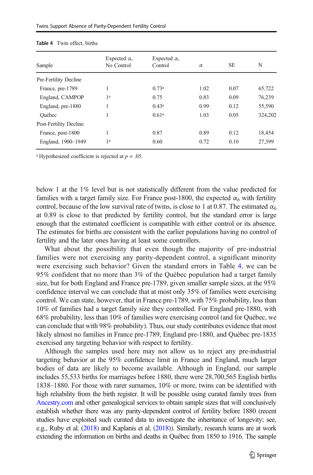| Sample                 | Expected $\alpha$ ,<br>No Control | Expected $\alpha$ ,<br>Control | $\alpha$ | <b>SE</b> | N       |
|------------------------|-----------------------------------|--------------------------------|----------|-----------|---------|
| Pre-Fertility Decline  |                                   |                                |          |           |         |
| France, pre-1789       | 1                                 | 0.73 <sup>a</sup>              | 1.02     | 0.07      | 65,722  |
| England, CAMPOP        | 1 <sup>a</sup>                    | 0.75                           | 0.83     | 0.09      | 76.239  |
| England, pre-1880      | 1                                 | 0.43 <sup>a</sup>              | 0.99     | 0.12      | 55,590  |
| Ouébec                 | 1                                 | 0.61 <sup>a</sup>              | 1.03     | 0.05      | 324.202 |
| Post-Fertility Decline |                                   |                                |          |           |         |
| France, post-1800      | 1                                 | 0.87                           | 0.89     | 0.12      | 18,454  |
| England, 1900-1949     | 1 <sup>a</sup>                    | 0.60                           | 0.72     | 0.10      | 27.399  |

<span id="page-16-0"></span>

| <b>Table 4</b> Twin effect, births |  |
|------------------------------------|--|
|------------------------------------|--|

<sup>a</sup> Hypothesized coefficient is rejected at  $p = .05$ .

below 1 at the 1% level but is not statistically different from the value predicted for families with a target family size. For France post-1800, the expected  $\alpha_b$  with fertility control, because of the low survival rate of twins, is close to 1 at 0.87. The estimated  $\alpha_b$ at 0.89 is close to that predicted by fertility control, but the standard error is large enough that the estimated coefficient is compatible with either control or its absence. The estimates for births are consistent with the earlier populations having no control of fertility and the later ones having at least some controllers.

What about the possibility that even though the majority of pre-industrial families were not exercising any parity-dependent control, a significant minority were exercising such behavior? Given the standard errors in Table 4, we can be 95% confident that no more than 3% of the Québec population had a target family size, but for both England and France pre-1789, given smaller sample sizes, at the 95% confidence interval we can conclude that at most only 35% of families were exercising control. We can state, however, that in France pre-1789, with 75% probability, less than 10% of families had a target family size they controlled. For England pre-1880, with 68% probability, less than 10% of families were exercising control (and for Québec, we can conclude that with 98% probability). Thus, our study contributes evidence that most likely almost no families in France pre-1789, England pre-1880, and Québec pre-1835 exercised any targeting behavior with respect to fertility.

Although the samples used here may not allow us to reject any pre-industrial targeting behavior at the 95% confidence limit in France and England, much larger bodies of data are likely to become available. Although in England, our sample includes 55,533 births for marriages before 1880, there were 28,700,565 English births 1838–1880. For those with rarer surnames, 10% or more, twins can be identified with high reliability from the birth register. It will be possible using curated family trees from [Ancestry.com](http://ancestry.com) and other genealogical services to obtain sample sizes that will conclusively establish whether there was any parity-dependent control of fertility before 1880 (recent studies have exploited such curated data to investigate the inheritance of longevity; see, e.g., Ruby et al. [\(2018\)](#page-23-0) and Kaplanis et al. [\(2018](#page-23-0))). Similarly, research teams are at work extending the information on births and deaths in Québec from 1850 to 1916. The sample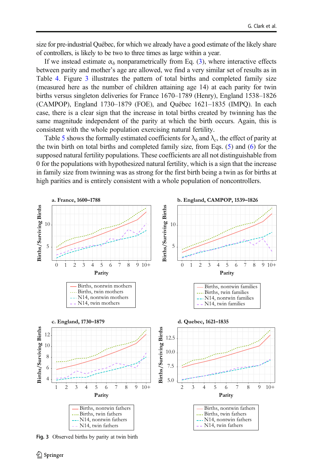size for pre-industrial Québec, for which we already have a good estimate of the likely share of controllers, is likely to be two to three times as large within a year.

If we instead estimate  $\alpha_b$  nonparametrically from Eq. [\(3\)](#page-8-0), where interactive effects between parity and mother's age are allowed, we find a very similar set of results as in Table [4.](#page-16-0) Figure 3 illustrates the pattern of total births and completed family size (measured here as the number of children attaining age 14) at each parity for twin births versus singleton deliveries for France 1670–1789 (Henry), England 1538–1826 (CAMPOP), England 1730–1879 (FOE), and Québec 1621–1835 (IMPQ). In each case, there is a clear sign that the increase in total births created by twinning has the same magnitude independent of the parity at which the birth occurs. Again, this is consistent with the whole population exercising natural fertility.

Table [5](#page-18-0) shows the formally estimated coefficients for  $\lambda_b$  and  $\lambda_c$ , the effect of parity at the twin birth on total births and completed family size, from Eqs. ([5\)](#page-8-0) and [\(6\)](#page-9-0) for the supposed natural fertility populations. These coefficients are all not distinguishable from 0 for the populations with hypothesized natural fertility, which is a sign that the increase in family size from twinning was as strong for the first birth being a twin as for births at high parities and is entirely consistent with a whole population of noncontrollers.



Fig. 3 Observed births by parity at twin birth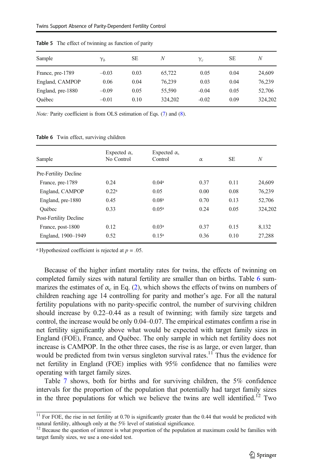| Sample            | $\gamma_{h}$ | <b>SE</b> | N       | $\gamma_c$ | SЕ   | N       |
|-------------------|--------------|-----------|---------|------------|------|---------|
| France, pre-1789  | $-0.03$      | 0.03      | 65,722  | 0.05       | 0.04 | 24,609  |
| England, CAMPOP   | 0.06         | 0.04      | 76.239  | 0.03       | 0.04 | 76.239  |
| England, pre-1880 | $-0.09$      | 0.05      | 55,590  | $-0.04$    | 0.05 | 52,706  |
| Ouébec            | $-0.01$      | 0.10      | 324,202 | $-0.02$    | 0.09 | 324,202 |

<span id="page-18-0"></span>Table 5 The effect of twinning as function of parity

Note: Parity coefficient is from OLS estimation of Eqs. [\(7](#page-9-0)) and [\(8\)](#page-12-0).

| Sample                 | Expected $\alpha$ ,<br>No Control | Expected $\alpha$ ,<br>Control | $\alpha$ | <b>SE</b> | N       |
|------------------------|-----------------------------------|--------------------------------|----------|-----------|---------|
| Pre-Fertility Decline  |                                   |                                |          |           |         |
| France, pre-1789       | 0.24                              | 0.04 <sup>a</sup>              | 0.37     | 0.11      | 24,609  |
| England, CAMPOP        | 0.22 <sup>a</sup>                 | 0.05                           | 0.00     | 0.08      | 76.239  |
| England, pre-1880      | 0.45                              | 0.08 <sup>a</sup>              | 0.70     | 0.13      | 52,706  |
| Ouébec                 | 0.33                              | 0.05 <sup>a</sup>              | 0.24     | 0.05      | 324,202 |
| Post-Fertility Decline |                                   |                                |          |           |         |
| France, post-1800      | 0.12                              | 0.03 <sup>a</sup>              | 0.37     | 0.15      | 8.132   |
| England, 1900-1949     | 0.52                              | 0.15 <sup>a</sup>              | 0.36     | 0.10      | 27,288  |
|                        |                                   |                                |          |           |         |

Table 6 Twin effect, surviving children

<sup>*a*</sup> Hypothesized coefficient is rejected at  $p = .05$ .

Because of the higher infant mortality rates for twins, the effects of twinning on completed family sizes with natural fertility are smaller than on births. Table 6 summarizes the estimates of  $\alpha_c$  in Eq. [\(2](#page-8-0)), which shows the effects of twins on numbers of children reaching age 14 controlling for parity and mother's age. For all the natural fertility populations with no parity-specific control, the number of surviving children should increase by 0.22–0.44 as a result of twinning; with family size targets and control, the increase would be only 0.04–0.07. The empirical estimates confirm a rise in net fertility significantly above what would be expected with target family sizes in England (FOE), France, and Québec. The only sample in which net fertility does not increase is CAMPOP. In the other three cases, the rise is as large, or even larger, than would be predicted from twin versus singleton survival rates.<sup>11</sup> Thus the evidence for net fertility in England (FOE) implies with 95% confidence that no families were operating with target family sizes.

Table [7](#page-19-0) shows, both for births and for surviving children, the 5% confidence intervals for the proportion of the population that potentially had target family sizes in the three populations for which we believe the twins are well identified.<sup>12</sup> Two

 $11$  For FOE, the rise in net fertility at 0.70 is significantly greater than the 0.44 that would be predicted with natural fertility, although only at the 5% level of statistical significance.

<sup>&</sup>lt;sup>12</sup> Because the question of interest is what proportion of the population at maximum could be families with target family sizes, we use a one-sided test.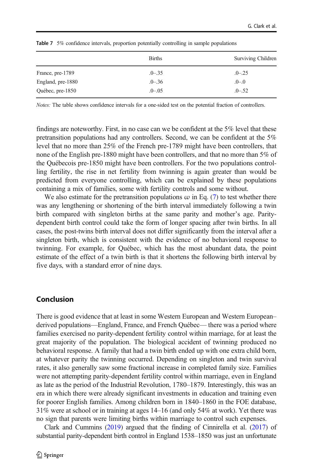|                   | <b>Births</b> | Surviving Children |  |  |
|-------------------|---------------|--------------------|--|--|
| France, pre-1789  | $.0 - .35$    | $.0 - .25$         |  |  |
| England, pre-1880 | $.0 - .36$    | $0 - 0$            |  |  |
| Québec, pre-1850  | $.0 - .05$    | $.0-.52$           |  |  |

<span id="page-19-0"></span>Table 7 5% confidence intervals, proportion potentially controlling in sample populations

Notes: The table shows confidence intervals for a one-sided test on the potential fraction of controllers.

findings are noteworthy. First, in no case can we be confident at the 5% level that these pretransition populations had any controllers. Second, we can be confident at the 5% level that no more than 25% of the French pre-1789 might have been controllers, that none of the English pre-1880 might have been controllers, and that no more than 5% of the Québecois pre-1850 might have been controllers. For the two populations controlling fertility, the rise in net fertility from twinning is again greater than would be predicted from everyone controlling, which can be explained by these populations containing a mix of families, some with fertility controls and some without.

We also estimate for the pretransition populations  $\omega$  in Eq. ([7\)](#page-9-0) to test whether there was any lengthening or shortening of the birth interval immediately following a twin birth compared with singleton births at the same parity and mother's age. Paritydependent birth control could take the form of longer spacing after twin births. In all cases, the post-twins birth interval does not differ significantly from the interval after a singleton birth, which is consistent with the evidence of no behavioral response to twinning. For example, for Québec, which has the most abundant data, the point estimate of the effect of a twin birth is that it shortens the following birth interval by five days, with a standard error of nine days.

## Conclusion

There is good evidence that at least in some Western European and Western European– derived populations—England, France, and French Québec— there was a period where families exercised no parity-dependent fertility control within marriage, for at least the great majority of the population. The biological accident of twinning produced no behavioral response. A family that had a twin birth ended up with one extra child born, at whatever parity the twinning occurred. Depending on singleton and twin survival rates, it also generally saw some fractional increase in completed family size. Families were not attempting parity-dependent fertility control within marriage, even in England as late as the period of the Industrial Revolution, 1780–1879. Interestingly, this was an era in which there were already significant investments in education and training even for poorer English families. Among children born in 1840–1860 in the FOE database, 31% were at school or in training at ages 14–16 (and only 54% at work). Yet there was no sign that parents were limiting births within marriage to control such expenses.

Clark and Cummins [\(2019\)](#page-22-0) argued that the finding of Cinnirella et al. ([2017](#page-21-0)) of substantial parity-dependent birth control in England 1538–1850 was just an unfortunate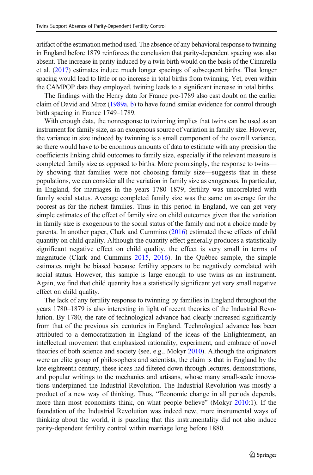artifact of the estimation method used. The absence of any behavioral response to twinning in England before 1879 reinforces the conclusion that parity-dependent spacing was also absent. The increase in parity induced by a twin birth would on the basis of the Cinnirella et al. [\(2017](#page-21-0)) estimates induce much longer spacings of subsequent births. That longer spacing would lead to little or no increase in total births from twinning. Yet, even within the CAMPOP data they employed, twining leads to a significant increase in total births.

The findings with the Henry data for France pre-1789 also cast doubt on the earlier claim of David and Mroz [\(1989a](#page-22-0), [b\)](#page-22-0) to have found similar evidence for control through birth spacing in France 1749–1789.

With enough data, the nonresponse to twinning implies that twins can be used as an instrument for family size, as an exogenous source of variation in family size. However, the variance in size induced by twinning is a small component of the overall variance, so there would have to be enormous amounts of data to estimate with any precision the coefficients linking child outcomes to family size, especially if the relevant measure is completed family size as opposed to births. More promisingly, the response to twins by showing that families were not choosing family size—suggests that in these populations, we can consider all the variation in family size as exogenous. In particular, in England, for marriages in the years 1780–1879, fertility was uncorrelated with family social status. Average completed family size was the same on average for the poorest as for the richest families. Thus in this period in England, we can get very simple estimates of the effect of family size on child outcomes given that the variation in family size is exogenous to the social status of the family and not a choice made by parents. In another paper, Clark and Cummins ([2016](#page-21-0)) estimated these effects of child quantity on child quality. Although the quantity effect generally produces a statistically significant negative effect on child quality, the effect is very small in terms of magnitude (Clark and Cummins [2015,](#page-21-0) [2016\)](#page-21-0). In the Québec sample, the simple estimates might be biased because fertility appears to be negatively correlated with social status. However, this sample is large enough to use twins as an instrument. Again, we find that child quantity has a statistically significant yet very small negative effect on child quality.

The lack of any fertility response to twinning by families in England throughout the years 1780–1879 is also interesting in light of recent theories of the Industrial Revolution. By 1780, the rate of technological advance had clearly increased significantly from that of the previous six centuries in England. Technological advance has been attributed to a democratization in England of the ideas of the Enlightenment, an intellectual movement that emphasized rationality, experiment, and embrace of novel theories of both science and society (see, e.g., Mokyr [2010\)](#page-23-0). Although the originators were an elite group of philosophers and scientists, the claim is that in England by the late eighteenth century, these ideas had filtered down through lectures, demonstrations, and popular writings to the mechanics and artisans, whose many small-scale innovations underpinned the Industrial Revolution. The Industrial Revolution was mostly a product of a new way of thinking. Thus, "Economic change in all periods depends, more than most economists think, on what people believe" (Mokyr [2010](#page-23-0):1). If the foundation of the Industrial Revolution was indeed new, more instrumental ways of thinking about the world, it is puzzling that this instrumentality did not also induce parity-dependent fertility control within marriage long before 1880.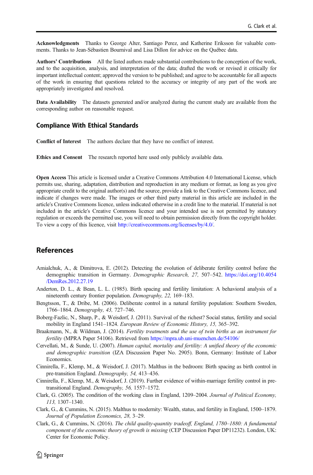<span id="page-21-0"></span>Acknowledgments Thanks to George Alter, Santiago Perez, and Katherine Eriksson for valuable comments. Thanks to Jean-Sébastien Bournival and Lisa Dillon for advice on the Québec data.

Authors' Contributions All the listed authors made substantial contributions to the conception of the work, and to the acquisition, analysis, and interpretation of the data; drafted the work or revised it critically for important intellectual content; approved the version to be published; and agree to be accountable for all aspects of the work in ensuring that questions related to the accuracy or integrity of any part of the work are appropriately investigated and resolved.

Data Availability The datasets generated and/or analyzed during the current study are available from the corresponding author on reasonable request.

#### Compliance With Ethical Standards

Conflict of Interest The authors declare that they have no conflict of interest.

Ethics and Consent The research reported here used only publicly available data.

Open Access This article is licensed under a Creative Commons Attribution 4.0 International License, which permits use, sharing, adaptation, distribution and reproduction in any medium or format, as long as you give appropriate credit to the original author(s) and the source, provide a link to the Creative Commons licence, and indicate if changes were made. The images or other third party material in this article are included in the article's Creative Commons licence, unless indicated otherwise in a credit line to the material. If material is not included in the article's Creative Commons licence and your intended use is not permitted by statutory regulation or exceeds the permitted use, you will need to obtain permission directly from the copyright holder. To view a copy of this licence, visit <http://creativecommons.org/licenses/by/4.0/>.

#### References

- Amialchuk, A., & Dimitrova, E. (2012). Detecting the evolution of deliberate fertility control before the demographic transition in Germany. Demographic Research, 27, 507–542. [https://doi.org/10.4054](https://doi.org/10.4054/DemRes.2012.27.19) [/DemRes.2012.27.19](https://doi.org/10.4054/DemRes.2012.27.19)
- Anderton, D. L., & Bean, L. L. (1985). Birth spacing and fertility limitation: A behavioral analysis of a nineteenth century frontier population. Demography, 22, 169–183.
- Bengtsson, T., & Dribe, M. (2006). Deliberate control in a natural fertility population: Southern Sweden, 1766–1864. Demography, 43, 727–746.
- Boberg-Fazlic, N., Sharp, P., & Weisdorf, J. (2011). Survival of the richest? Social status, fertility and social mobility in England 1541–1824. European Review of Economic History, 15, 365–392.
- Braakmann, N., & Wildman, J. (2014). Fertility treatments and the use of twin births as an instrument for fertility (MPRA Paper 54106). Retrieved from <https://mpra.ub.uni-muenchen.de/54106/>
- Cervellati, M., & Sunde, U. (2007). Human capital, mortality and fertility: A unified theory of the economic and demographic transition (IZA Discussion Paper No. 2905). Bonn, Germany: Institute of Labor Economics.
- Cinnirella, F., Klemp, M., & Weisdorf, J. (2017). Malthus in the bedroom: Birth spacing as birth control in pre-transition England. Demography, 54, 413–436.
- Cinnirella, F., Klemp, M., & Weisdorf, J. (2019). Further evidence of within-marriage fertility control in pretransitional England. Demography, 56, 1557–1572.
- Clark, G. (2005). The condition of the working class in England, 1209–2004. Journal of Political Economy, 113, 1307–1340.
- Clark, G., & Cummins, N. (2015). Malthus to modernity: Wealth, status, and fertility in England, 1500–1879. Journal of Population Economics, 28, 3–29.
- Clark, G., & Cummins, N. (2016). The child quality-quantity tradeoff, England, 1780–1880: A fundamental component of the economic theory of growth is missing (CEP Discussion Paper DP11232). London, UK: Center for Economic Policy.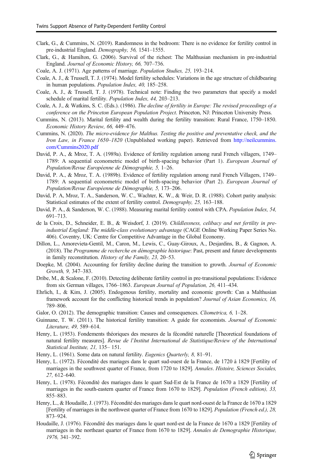- <span id="page-22-0"></span>Clark, G., & Cummins, N. (2019). Randomness in the bedroom: There is no evidence for fertility control in pre-industrial England. Demography, 56, 1541–1555.
- Clark, G., & Hamilton, G. (2006). Survival of the richest: The Malthusian mechanism in pre-industrial England. Journal of Economic History, 66, 707–736.
- Coale, A. J. (1971). Age patterns of marriage. Population Studies, 25, 193–214.
- Coale, A. J., & Trussell, T. J. (1974). Model fertility schedules: Variations in the age structure of childbearing in human populations. Population Index, 40, 185–258.
- Coale, A. J., & Trussell, T. J. (1978). Technical note: Finding the two parameters that specify a model schedule of marital fertility. Population Index, 44, 203–213.
- Coale, A. J., & Watkins, S. C. (Eds.). (1986). The decline of fertility in Europe: The revised proceedings of a conference on the Princeton European Population Project. Princeton, NJ: Princeton University Press.
- Cummins, N. (2013). Marital fertility and wealth during the fertility transition: Rural France, 1750–1850. Economic History Review, 66, 449–476.
- Cummins, N. (2020). The micro-evidence for Malthus. Testing the positive and preventative check, and the Iron Law, in France 1650–1820 (Unpublished working paper). Retrieved from [http://neilcummins.](http://neilcummins.com/Cummins2020.pdf) [com/Cummins2020.pdf](http://neilcummins.com/Cummins2020.pdf)
- David, P. A., & Mroz, T. A. (1989a). Evidence of fertility regulation among rural French villagers, 1749– 1789: A sequential econometric model of birth-spacing behavior (Part 1). European Journal of Population/Revue Européenne de Démographie, 5, 1–26.
- David, P. A., & Mroz, T. A. (1989b). Evidence of fertility regulation among rural French Villagers, 1749– 1789: A sequential econometric model of birth-spacing behavior (Part 2). European Journal of Population/Revue Européenne de Démographie, 5, 173–206.
- David, P. A, Mroz, T. A., Sanderson, W. C., Wachter, K. W., & Weir, D. R. (1988). Cohort parity analysis: Statistical estimates of the extent of fertility control. Demography, 25, 163–188.
- David, P. A., & Sanderson, W. C. (1988). Measuring marital fertility control with CPA. Population Index, 54, 691–713.
- de la Croix, D., Schneider, E. B., & Weisdorf, J. (2019). Childlessness, celibacy and net fertility in preindustrial England: The middle-class evolutionary advantage (CAGE Online Working Paper Series No. 406). Coventry, UK: Centre for Competitive Advantage in the Global Economy.
- Dillon, L., Amorevieta-Gentil, M., Caron, M., Lewis, C., Guay-Giroux, A., Desjardins, B., & Gagnon, A. (2018). The Programme de recherche en démographie historique: Past, present and future developments in family reconstitution. History of the Family, 23, 20–53.
- Doepke, M. (2004). Accounting for fertility decline during the transition to growth. Journal of Economic Growth, 9, 347–383.
- Dribe, M., & Scalone, F. (2010). Detecting deliberate fertility control in pre-transitional populations: Evidence from six German villages, 1766–1863. European Journal of Population, 26, 411–434.
- Ehrlich, I., & Kim, J. (2005). Endogenous fertility, mortality and economic growth: Can a Malthusian framework account for the conflicting historical trends in population? Journal of Asian Economics, 16, 789–806.
- Galor, O. (2012). The demographic transition: Causes and consequences. Cliometrica, 6, 1–28.
- Guinnane, T. W. (2011). The historical fertility transition: A guide for economists. Journal of Economic Literature, 49, 589–614.
- Henry, L. (1953). Fondements théoriques des mesures de la fécondité naturelle [Theoretical foundations of natural fertility measures]. Revue de l'Institut International de Statistique/Review of the International Statistical Institute, 21, 135– 151.
- Henry, L. (1961). Some data on natural fertility. Eugenics Quarterly, 8, 81–91.
- Henry, L. (1972). Fécondité des mariages dans le quart sud-ouest de la France, de 1720 à 1829 [Fertility of marriages in the southwest quarter of France, from 1720 to 1829]. Annales. Histoire, Sciences Sociales, 27, 612–640.
- Henry, L. (1978). Fécondité des mariages dans le quart Sud-Est de la France de 1670 a 1829 [Fertility of marriages in the south-eastern quarter of France from 1670 to 1829]. Population (French edition), 33, 855–883.
- Henry, L., & Houdaille, J. (1973). Fécondité des mariages dans le quart nord-ouest de la France de 1670 a 1829 [Fertility of marriages in the northwest quarter of France from 1670 to 1829]. Population (French ed.), 28, 873–924.
- Houdaille, J. (1976). Fécondité des mariages dans le quart nord-est de la France de 1670 a 1829 [Fertility of marriages in the northeast quarter of France from 1670 to 1829]. Annales de Demographie Historique, 1976, 341–392.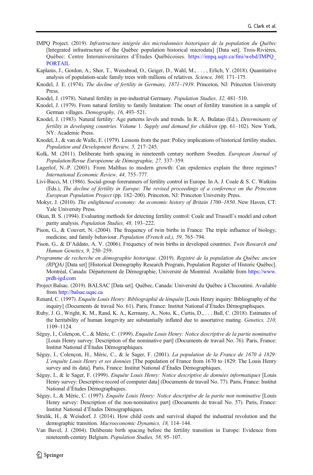- <span id="page-23-0"></span>IMPQ Project. (2019). Infrastructure intégrée des microdonnées historiques de la population du Québec [Integrated infrastructure of the Québec population historical microdata] [Data set]. Trois-Rivières, Québec: Centre Interuniversitaires d'Études Québécoises. [https://impq.uqtr.ca/fmi/webd/IMPQ\\_](https://impq.uqtr.ca/fmi/webd/IMPQ_PORTAIL) [PORTAIL](https://impq.uqtr.ca/fmi/webd/IMPQ_PORTAIL)
- Kaplanis, J., Gordon, A., Shor, T., Weissbrod, O., Geiger, D., Wahl, M., . . . , Erlich, Y. (2018). Quantitative analysis of population-scale family trees with millions of relatives. Science, 360, 171–175.
- Knodel, J. E. (1974). The decline of fertility in Germany, 1871–1939. Princeton, NJ: Princeton University Press.
- Knodel, J. (1978). Natural fertility in pre-industrial Germany. Population Studies, 32, 481–510.
- Knodel, J. (1979). From natural fertility to family limitation: The onset of fertility transition in a sample of German villages. Demography, 16, 493–521.
- Knodel, J. (1983). Natural fertility: Age patterns levels and trends. In R. A. Bulatao (Ed.), Determinants of fertility in developing countries. Volume 1. Supply and demand for children (pp. 61–102). New York, NY: Academic Press.
- Knodel, J., & van de Walle, E. (1979). Lessons from the past: Policy implications of historical fertility studies. Population and Development Review, 5, 217–245.
- Kolk, M. (2011). Deliberate birth spacing in nineteenth century northern Sweden. European Journal of Population/Revue Européenne de Démographie, 27, 337–359.
- Lagerlof, N.-P. (2003). From Malthus to modern growth: Can epidemics explain the three regimes? International Economic Review, 44, 755–777.
- Livi-Bacci, M. (1986). Social-group forerunners of fertility control in Europe. In A. J. Coale & S. C. Watkins (Eds.), The decline of fertility in Europe: The revised proceedings of a conference on the Princeton European Population Project (pp. 182–200). Princeton, NJ: Princeton University Press.
- Mokyr, J. (2010). The enlightened economy: An economic history of Britain 1700–1850. New Haven, CT: Yale University Press.
- Okun, B. S. (1994). Evaluating methods for detecting fertility control: Coale and Trussell's model and cohort parity analysis. Population Studies, 48, 193–222.
- Pison, G., & Couvert, N. (2004). The frequency of twin births in France: The triple influence of biology, medicine, and family behaviour. Population (French ed.), 59, 765–794.
- Pison, G., & D'Addato, A. V. (2006). Frequency of twin births in developed countries. Twin Research and Human Genetics, 9, 250–259.
- Programme de recherche en démographie historique. (2019). Registre de la population du Québec ancien (RPQA) [Data set] [Historical Demography Research Program, Population Register of Historic Québec]. Montréal, Canada: Département de Démographie, Université de Montréal. Available from [https://www.](https://www.prdh-igd.com) [prdh-igd.com](https://www.prdh-igd.com)
- Project Balsac. (2019). BALSAC [Data set]. Québec, Canada: Université du Québec à Chicoutimi. Available from <http://balsac.uqac.ca>
- Renard, C. (1997). Enquête Louis Henry: Bibliographié de lénquête [Louis Henry inquiry: Bibliography of the inquiry] (Documents de travail No. 61). Paris, France: Institut National d'Études Démographiques.
- Ruby, J. G., Wright, K. M., Rand, K. A., Kermany, A., Noto, K., Curtis, D., . . . Ball, C. (2018). Estimates of the heritability of human longevity are substantially inflated due to assortative mating. Genetics, 210, 1109–1124.
- Séguy, I., Colençon, C., & Méric, C. (1999). Enquête Louis Henry: Notice descriptive de la partie nominative [Louis Henry survey: Description of the nominative part] (Documents de travail No. 76). Paris, France: Institut National d'Études Démographiques.
- Séguy, I., Colençon, H., Méric, C., & le Sager, F. (2001). La population de la France de 1670 à 1829: L'enquête Louis Henry et ses données [The population of France from 1670 to 1829: The Louis Henry survey and its data]. Paris, France: Institut National d'Études Démographiques.
- Séguy, I., & le Sager, F. (1999). Enquête Louis Henry: Notice descriptive de données informatiques [Louis Henry survey: Descriptive record of computer data] (Documents de travail No. 77). Paris, France: Institut National d'Études Démographiques.
- Séguy, I., & Méric, C. (1997). Enquête Louis Henry: Notice descriptive de la partie non nominative [Louis Henry survey: Description of the non-nominative part] (Documents de travail No. 57). Paris, France: Institut National d'Études Démographiques.
- Strulik, H., & Weisdorf, J. (2014). How child costs and survival shaped the industrial revolution and the demographic transition. Macroeconomic Dynamics, 18, 114–144.
- Van Bavel, J. (2004). Deliberate birth spacing before the fertility transition in Europe: Evidence from nineteenth-century Belgium. Population Studies, 58, 95–107.